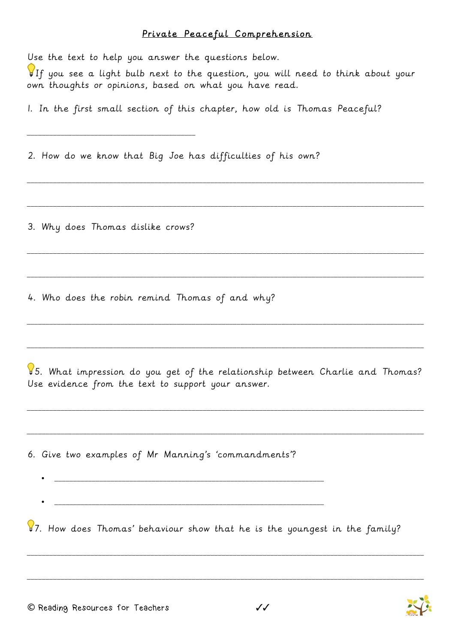## Private Peaceful Comprehension

Use the text to help you answer the questions below. If you see a light bulb next to the question, you will need to think about your own thoughts or opinions, based on what you have read. 1. In the first small section of this chapter, how old is Thomas Peaceful? \_\_\_\_\_\_\_\_\_\_\_\_\_\_\_\_\_\_\_\_\_\_\_\_\_\_\_\_\_\_\_\_\_\_\_\_\_\_\_\_\_\_\_\_\_ 2. How do we know that Big Joe has difficulties of his own? \_\_\_\_\_\_\_\_\_\_\_\_\_\_\_\_\_\_\_\_\_\_\_\_\_\_\_\_\_\_\_\_\_\_\_\_\_\_\_\_\_\_\_\_\_\_\_\_\_\_\_\_\_\_\_\_\_\_\_\_\_\_\_\_\_\_\_\_\_\_\_\_\_\_\_\_\_\_\_\_\_\_\_\_\_\_\_\_\_\_\_\_\_\_\_\_\_\_\_\_\_\_\_\_\_\_ \_\_\_\_\_\_\_\_\_\_\_\_\_\_\_\_\_\_\_\_\_\_\_\_\_\_\_\_\_\_\_\_\_\_\_\_\_\_\_\_\_\_\_\_\_\_\_\_\_\_\_\_\_\_\_\_\_\_\_\_\_\_\_\_\_\_\_\_\_\_\_\_\_\_\_\_\_\_\_\_\_\_\_\_\_\_\_\_\_\_\_\_\_\_\_\_\_\_\_\_\_\_\_\_\_\_ 3. Why does Thomas dislike crows? \_\_\_\_\_\_\_\_\_\_\_\_\_\_\_\_\_\_\_\_\_\_\_\_\_\_\_\_\_\_\_\_\_\_\_\_\_\_\_\_\_\_\_\_\_\_\_\_\_\_\_\_\_\_\_\_\_\_\_\_\_\_\_\_\_\_\_\_\_\_\_\_\_\_\_\_\_\_\_\_\_\_\_\_\_\_\_\_\_\_\_\_\_\_\_\_\_\_\_\_\_\_\_\_\_\_ \_\_\_\_\_\_\_\_\_\_\_\_\_\_\_\_\_\_\_\_\_\_\_\_\_\_\_\_\_\_\_\_\_\_\_\_\_\_\_\_\_\_\_\_\_\_\_\_\_\_\_\_\_\_\_\_\_\_\_\_\_\_\_\_\_\_\_\_\_\_\_\_\_\_\_\_\_\_\_\_\_\_\_\_\_\_\_\_\_\_\_\_\_\_\_\_\_\_\_\_\_\_\_\_\_\_ 4. Who does the robin remind Thomas of and why? \_\_\_\_\_\_\_\_\_\_\_\_\_\_\_\_\_\_\_\_\_\_\_\_\_\_\_\_\_\_\_\_\_\_\_\_\_\_\_\_\_\_\_\_\_\_\_\_\_\_\_\_\_\_\_\_\_\_\_\_\_\_\_\_\_\_\_\_\_\_\_\_\_\_\_\_\_\_\_\_\_\_\_\_\_\_\_\_\_\_\_\_\_\_\_\_\_\_\_\_\_\_\_\_\_\_ \_\_\_\_\_\_\_\_\_\_\_\_\_\_\_\_\_\_\_\_\_\_\_\_\_\_\_\_\_\_\_\_\_\_\_\_\_\_\_\_\_\_\_\_\_\_\_\_\_\_\_\_\_\_\_\_\_\_\_\_\_\_\_\_\_\_\_\_\_\_\_\_\_\_\_\_\_\_\_\_\_\_\_\_\_\_\_\_\_\_\_\_\_\_\_\_\_\_\_\_\_\_\_\_\_\_ 5. What impression do you get of the relationship between Charlie and Thomas? Use evidence from the text to support your answer. \_\_\_\_\_\_\_\_\_\_\_\_\_\_\_\_\_\_\_\_\_\_\_\_\_\_\_\_\_\_\_\_\_\_\_\_\_\_\_\_\_\_\_\_\_\_\_\_\_\_\_\_\_\_\_\_\_\_\_\_\_\_\_\_\_\_\_\_\_\_\_\_\_\_\_\_\_\_\_\_\_\_\_\_\_\_\_\_\_\_\_\_\_\_\_\_\_\_\_\_\_\_\_\_\_\_ \_\_\_\_\_\_\_\_\_\_\_\_\_\_\_\_\_\_\_\_\_\_\_\_\_\_\_\_\_\_\_\_\_\_\_\_\_\_\_\_\_\_\_\_\_\_\_\_\_\_\_\_\_\_\_\_\_\_\_\_\_\_\_\_\_\_\_\_\_\_\_\_\_\_\_\_\_\_\_\_\_\_\_\_\_\_\_\_\_\_\_\_\_\_\_\_\_\_\_\_\_\_\_\_\_\_ 6. Give two examples of Mr Manning's 'commandments'? • \_\_\_\_\_\_\_\_\_\_\_\_\_\_\_\_\_\_\_\_\_\_\_\_\_\_\_\_\_\_\_\_\_\_\_\_\_\_\_\_\_\_\_\_\_\_\_\_\_\_\_\_\_\_\_\_\_\_\_\_\_\_\_\_\_\_\_\_\_\_\_\_  $97.$  How does Thomas' behaviour show that he is the youngest in the family? \_\_\_\_\_\_\_\_\_\_\_\_\_\_\_\_\_\_\_\_\_\_\_\_\_\_\_\_\_\_\_\_\_\_\_\_\_\_\_\_\_\_\_\_\_\_\_\_\_\_\_\_\_\_\_\_\_\_\_\_\_\_\_\_\_\_\_\_\_\_\_\_\_\_\_\_\_\_\_\_\_\_\_\_\_\_\_\_\_\_\_\_\_\_\_\_\_\_\_\_\_\_\_\_\_\_ \_\_\_\_\_\_\_\_\_\_\_\_\_\_\_\_\_\_\_\_\_\_\_\_\_\_\_\_\_\_\_\_\_\_\_\_\_\_\_\_\_\_\_\_\_\_\_\_\_\_\_\_\_\_\_\_\_\_\_\_\_\_\_\_\_\_\_\_\_\_\_\_\_\_\_\_\_\_\_\_\_\_\_\_\_\_\_\_\_\_\_\_\_\_\_\_\_\_\_\_\_\_\_\_\_\_